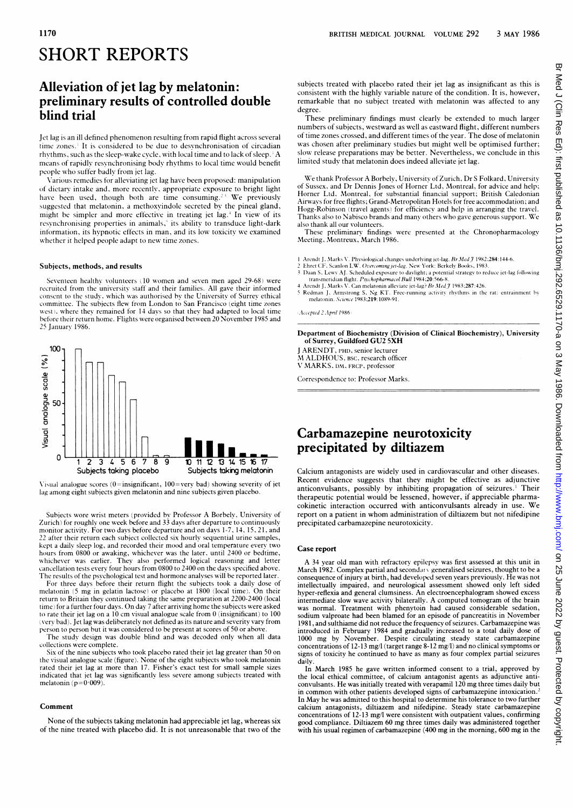# SHORT REPORTS

# Alleviation of jet lag by melatonin: preliminary results of controlled double blind trial

Jet lag is an ill defined phenomenon resulting from rapid flight across several time zones.' It is considered to be due to desynchronisation of circadian rhythms, such as the sleep-wake cycle, with local time and to lack of sleep. ' A means of rapidly resynchronising body rhythms to local time would benefit people who suffer badly from jet lag.

Various remedies for alleviating jet lag have been proposed: manipulation of dietary intake and, more recently, appropriate exposure to bright light have been used, though both are time consuming.<sup>23</sup> We previously suggested that melatonin, a methoxyindole secreted by the pineal gland, might be simpler and more effective in treating jet lag.<sup>4</sup> In view of its resynchronising properties in animals,<sup>5</sup> its ability to transduce light-dark information, its hypnotic effects in man, and its low toxicity we examined whether it helped people adapt to new time zones.

### Subjects, methods, and results

Seventeen healthy volunteers (10 women and seven men aged 29-68) were recruited from the university staff and their families. All gave their informed consent to the study, which was authorised by the University of Surrey ethical committee. The subjects flew from London to San Francisco (eight time zones west), where they remained for 14 days so that they had adapted to local time before their return home. Flights were organised between 20 November 1985 and 25 January 1986.



Visual analogue scores (0=insignificant, 100=very bad) showing severity of jet lag among eight subjects given melatonin and nine subjects given placebo.

Subjects wore wrist meters (provided by Professor A Borbely, University of Zurich) for roughly one week'before and 33 days after departure to continuously monitor activity. For two days before departure and on days 1-7, 14, 15, 21, and 22 after their return each subject collected six hourly sequential urine samples, kept <sup>a</sup> daily sleep log, and recorded their mood and oral temperature every two hours from 0800 or awaking, whichever was the later, until 2400 or bedtime, whichever was earlier. They also performed logical reasoning and letter cancellation tests every four hours from 0800 to 2400 on the days specified above. The results of the psychological test and hormone analyses will be reported later.

For three days before their return flight the subjects took a daily dose of melatonin (5 mg in gelatin lactose) or placebo at <sup>1800</sup> (local time). On their return to Britain they continued taking the same preparation at 2200-2400 (local time) for a further four days. On day 7 after arriving home the subjects were asked to rate their jet lag on <sup>a</sup> <sup>10</sup> cm visual analogue scale from 0 (insignificant) to 100 (very bad). Jet lag was deliberately not defined asits nature and severity vary from person to person but it was considered to be present at scores of 50 or above.

The study design was double blind and was decoded only when all data collections were complete.

Six of the nine subjects who took placebo rated their jet lag greater than 50 on the visual analogue scale (figure). None of the eight subjects who took melatonin rated their jet lag at more than 17. Fisher's exact test for small sample sizes indicated that jet lag was significantly less severe among subjects treated with melatonin ( $p=0.009$ ).

#### Comment

None of the subjects taking melatonin had appreciable jet lag, whereas six of the nine treated with placebo did. It is not unreasonable that two of the

subjects treated with placebo rated their jet lag as insignificant as this is consistent with the highly variable nature of the condition. It is, however, remarkable that no subject treated with melatonin was affected to any degree.

These preliminary findings must clearly be extended to much larger numbers of subjects, westward as well as eastward flight, different numbers of time zones crossed, and different times of the year. The dose of melatonin was chosen after preliminary studies but might well be optimised further; slow release preparations may be better. Nevertheless, we conclude in this limited study that melatonin does indeed alleviate jet lag.

We thank Professor A Borbely, University of Zurich, Dr <sup>S</sup> Folkard, University of Sussex, and Dr Dennis Jones of Horner Ltd, Montreal, for advice and help; Horner Ltd, Montreal, for substantial financial support; British Caledonian Airways for free flights; Grand-Metropolitan Hotels for free accommodation; and Hogg-Robinson (travel agents) for efficiency and help in arranging the travel. Thanks also to Nabisco brands and many others who gave generous support. We also thank all our volunteers.

These preliminary findings were presented at the Chronopharmacology Meeting, Montreux, March 1986.

- 1 Arendt J, Marks V. Physiological changes underlying jet-lag.  $Br Med \tilde{J}$  1982;284:144-6.
- 
- 2 Ehret CF, Scanlon LW. Overcoming jet-lag. New York: Berkely Books, 1983.<br>
3 Daan S, Lewy AJ. Scheduled exposure to davlight; a potential strategy to reduce jet-lag following<br>
transmerician flight. *Psychopharmacol Bull*
- <sup>5</sup> Redman J, Armstrong S, Ng KT. Free-running activity rhythms in the rat: entrainment by melatonin. Science 1983;219:1089-91.

(Accepied 2 April 1986)

Department of Biochemistry (Division of Clinical Biochemistry), University of Surrey, Guildford GU2 5XH

<sup>J</sup> ARENDT, PHD, senior lecturer M ALDHOUS, BSC, research officer V MARKS, DM, FRCP, professor

Correspondence to: Professor Marks.

## Carbamazepine neurotoxicity precipitated by diltiazem-

Calcium antagonists are widely used in cardiovascular and other diseases. Recent evidence suggests that they might be effective as adjunctive anticonvulsants, possibly by inhibiting propagation of seizures.<sup>1</sup> Their therapeutic potential would be lessened, however, if appreciable pharmacokinetic interaction occurred with anticonvulsants already in use. We report on <sup>a</sup> patient in whom administration of diltiazem but not nifedipine precipitated carbamazepine neurotoxicity.

#### Case report

A <sup>34</sup> year old man with refractory epilepsy was first assessed at this unit in March 1982. Complex partial and secondarv generalised seizures, thought to be a consequence of injury at birth, had developed seven years previously. He was not intellectually impaired, and neurological assessment showed only left sided hyper-reflexia and general clumsiness. An electroencephalogram showed excess intermediate slow wave activity bilaterally. A computed tomogram of the brain was normal. Treatment with phenytoin had caused considerable sedation, sodium valproate had been blamed for an episode of pancreatitis in November 1981, and sulthiame did not reduce the frequency of seizures. Carbamazepinewas introduced in February 1984 and gradually increased to a total daily dose of 1000 mg by November. Despite circulating steady state carbamazepine concentrations of 12-13 mg/l (target range 8-12 mg/I) and no clinical symptoms or signs of toxicity he continued to have as many as four complex partial seizures daily.

In March 1985 he gave written informed consent to a trial, approved by the local ethical committee, of calcium antagonist agents as adjunctive anticonvulsants. He was initially treated with verapamil 120 mg three times daily but in common with other patients developed signs of carbamazepine intoxication.<sup>2</sup> In May he was admitted to this hospital to determine his tolerance to two further calcium antagonists, diltiazem and nifedipine. Steady state carbamazepine concentrations of 12-13 mg/l were consistent with outpatient values, confirming good compliance. Diltiazem 60 mg three times daily was administered together with his usual regimen of carbamazepine (400 mg in the morning, 600 mg in the